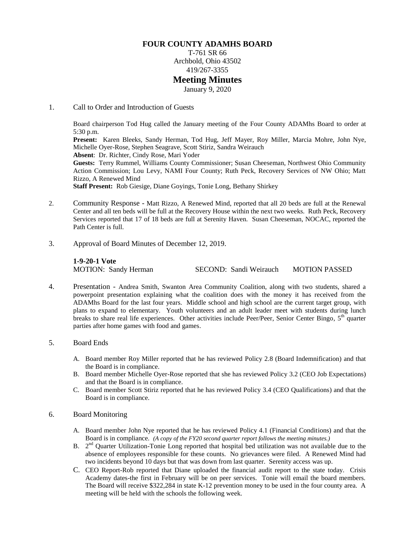## **FOUR COUNTY ADAMHS BOARD**

T-761 SR 66 Archbold, Ohio 43502 419/267-3355

## **Meeting Minutes**

January 9, 2020

1. Call to Order and Introduction of Guests

Board chairperson Tod Hug called the January meeting of the Four County ADAMhs Board to order at 5:30 p.m. **Present:** Karen Bleeks, Sandy Herman, Tod Hug, Jeff Mayer, Roy Miller, Marcia Mohre, John Nye, Michelle Oyer-Rose, Stephen Seagrave, Scott Stiriz, Sandra Weirauch **Absent**: Dr. Richter, Cindy Rose, Mari Yoder **Guests:** Terry Rummel, Williams County Commissioner; Susan Cheeseman, Northwest Ohio Community Action Commission; Lou Levy, NAMI Four County; Ruth Peck, Recovery Services of NW Ohio; Matt Rizzo, A Renewed Mind **Staff Present:** Rob Giesige, Diane Goyings, Tonie Long, Bethany Shirkey

- 2. Community Response Matt Rizzo, A Renewed Mind, reported that all 20 beds are full at the Renewal Center and all ten beds will be full at the Recovery House within the next two weeks. Ruth Peck, Recovery Services reported that 17 of 18 beds are full at Serenity Haven. Susan Cheeseman, NOCAC, reported the Path Center is full.
- 3. Approval of Board Minutes of December 12, 2019.

**1-9-20-1 Vote** MOTION: Sandy Herman SECOND: Sandi Weirauch MOTION PASSED

- 4. Presentation Andrea Smith, Swanton Area Community Coalition, along with two students, shared a powerpoint presentation explaining what the coalition does with the money it has received from the ADAMhs Board for the last four years. Middle school and high school are the current target group, with plans to expand to elementary. Youth volunteers and an adult leader meet with students during lunch breaks to share real life experiences. Other activities include Peer/Peer, Senior Center Bingo, 5<sup>th</sup> quarter parties after home games with food and games.
- 5. Board Ends
	- A. Board member Roy Miller reported that he has reviewed Policy 2.8 (Board Indemnification) and that the Board is in compliance.
	- B. Board member Michelle Oyer-Rose reported that she has reviewed Policy 3.2 (CEO Job Expectations) and that the Board is in compliance.
	- C. Board member Scott Stiriz reported that he has reviewed Policy 3.4 (CEO Qualifications) and that the Board is in compliance.
- 6. Board Monitoring
	- A. Board member John Nye reported that he has reviewed Policy 4.1 (Financial Conditions) and that the Board is in compliance. *(A copy of the FY20 second quarter report follows the meeting minutes.)*
	- B.  $2<sup>nd</sup>$  Quarter Utilization-Tonie Long reported that hospital bed utilization was not available due to the absence of employees responsible for these counts. No grievances were filed. A Renewed Mind had two incidents beyond 10 days but that was down from last quarter. Serenity access was up.
	- C. CEO Report-Rob reported that Diane uploaded the financial audit report to the state today. Crisis Academy dates-the first in February will be on peer services. Tonie will email the board members. The Board will receive \$322,284 in state K-12 prevention money to be used in the four county area. A meeting will be held with the schools the following week.